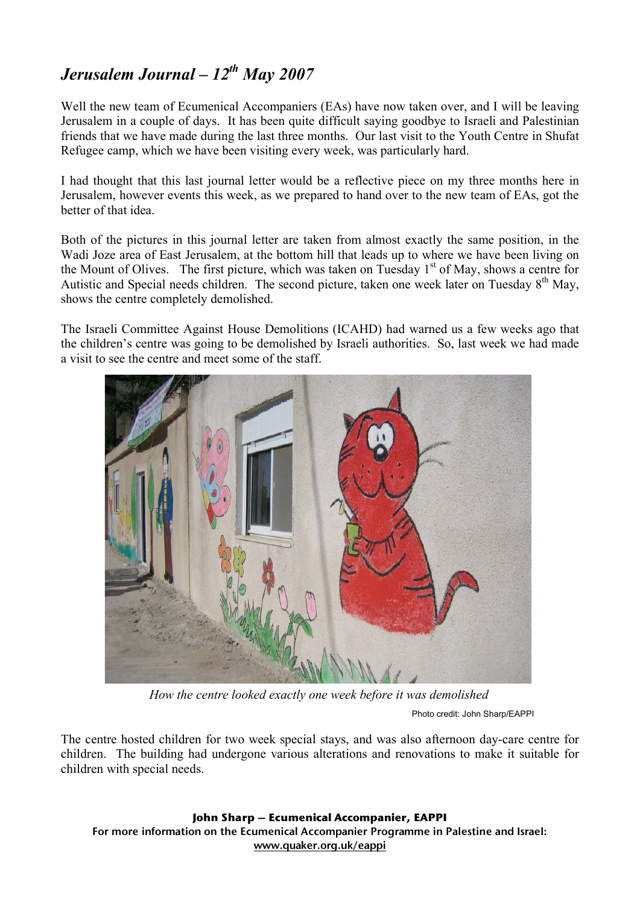## *Jerusalem Journal – 12th May 2007*

Well the new team of Ecumenical Accompaniers (EAs) have now taken over, and I will be leaving Jerusalem in a couple of days. It has been quite difficult saying goodbye to Israeli and Palestinian friends that we have made during the last three months. Our last visit to the Youth Centre in Shufat Refugee camp, which we have been visiting every week, was particularly hard.

I had thought that this last journal letter would be a reflective piece on my three months here in Jerusalem, however events this week, as we prepared to hand over to the new team of EAs, got the better of that idea.

Both of the pictures in this journal letter are taken from almost exactly the same position, in the Wadi Joze area of East Jerusalem, at the bottom hill that leads up to where we have been living on the Mount of Olives. The first picture, which was taken on Tuesday 1<sup>st</sup> of May, shows a centre for Autistic and Special needs children. The second picture, taken one week later on Tuesday 8<sup>th</sup> May. shows the centre completely demolished.

The Israeli Committee Against House Demolitions (ICAHD) had warned us a few weeks ago that the children's centre was going to be demolished by Israeli authorities. So, last week we had made a visit to see the centre and meet some of the staff.



*How the centre looked exactly one week before it was demolished*

Photo credit: John Sharp/EAPPI

The centre hosted children for two week special stays, and was also afternoon day-care centre for children. The building had undergone various alterations and renovations to make it suitable for children with special needs.

**John Sharp – Ecumenical Accompanier, EAPPI** For more information on the Ecumenical Accompanier Programme in Palestine and Israel: www.quaker.org.uk/eappi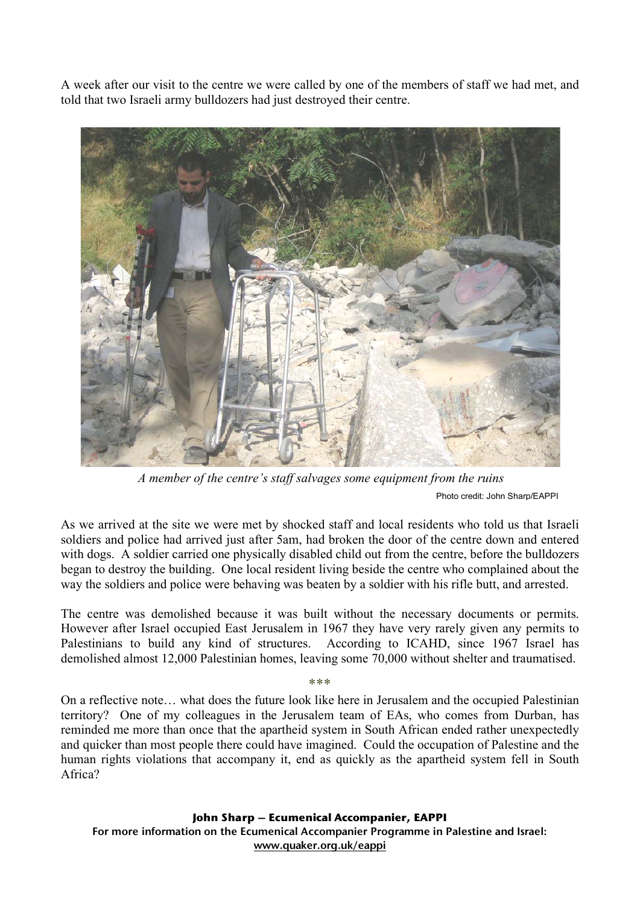A week after our visit to the centre we were called by one of the members of staff we had met, and told that two Israeli army bulldozers had just destroyed their centre.



Photo credit: John Sharp/EAPPI *A member of the centre's staff salvages some equipment from the ruins*

As we arrived at the site we were met by shocked staff and local residents who told us that Israeli soldiers and police had arrived just after 5am, had broken the door of the centre down and entered with dogs. A soldier carried one physically disabled child out from the centre, before the bulldozers began to destroy the building. One local resident living beside the centre who complained about the way the soldiers and police were behaving was beaten by a soldier with his rifle butt, and arrested.

The centre was demolished because it was built without the necessary documents or permits. However after Israel occupied East Jerusalem in 1967 they have very rarely given any permits to Palestinians to build any kind of structures. According to ICAHD, since 1967 Israel has demolished almost 12,000 Palestinian homes, leaving some 70,000 without shelter and traumatised.

On a reflective note… what does the future look like here in Jerusalem and the occupied Palestinian territory? One of my colleagues in the Jerusalem team of EAs, who comes from Durban, has reminded me more than once that the apartheid system in South African ended rather unexpectedly and quicker than most people there could have imagined. Could the occupation of Palestine and the human rights violations that accompany it, end as quickly as the apartheid system fell in South Africa?

**John Sharp – Ecumenical Accompanier, EAPPI** For more information on the Ecumenical Accompanier Programme in Palestine and Israel: www.quaker.org.uk/eappi

```
***
```